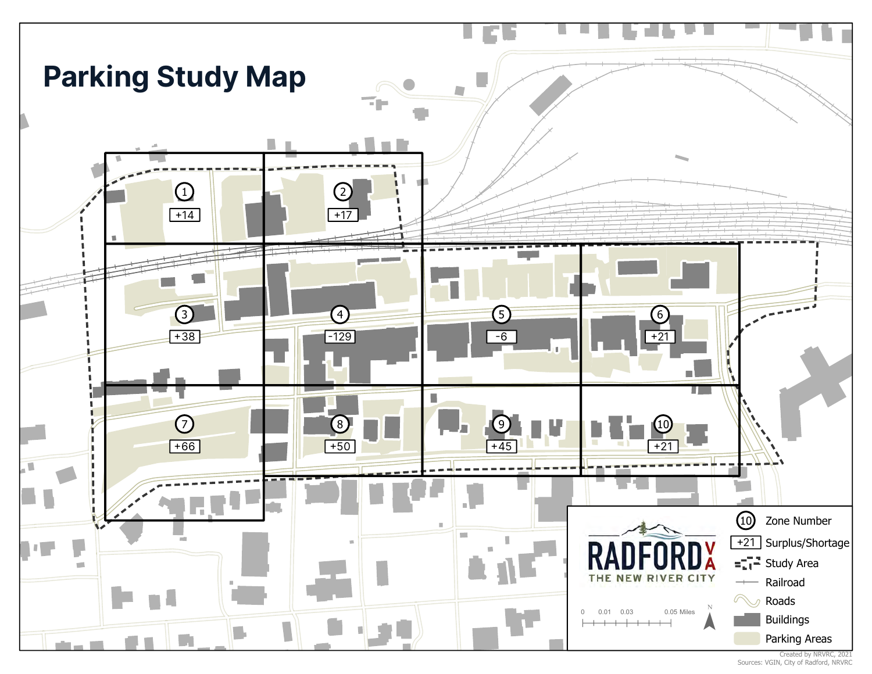

Created by NRVRC, 2021 Sources: VGIN, City of Radford, NRVRC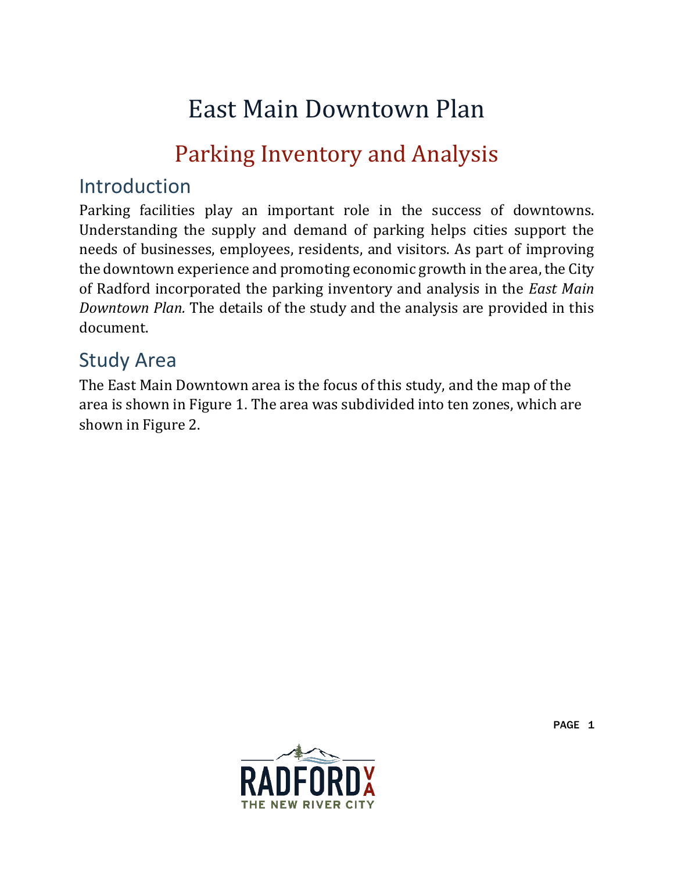# East Main Downtown Plan

# Parking Inventory and Analysis

### Introduction

Parking facilities play an important role in the success of downtowns. Understanding the supply and demand of parking helps cities support the needs of businesses, employees, residents, and visitors. As part of improving the downtown experience and promoting economic growth in the area, the City of Radford incorporated the parking inventory and analysis in the *East Main Downtown Plan.* The details of the study and the analysis are provided in this document.

### Study Area

The East Main Downtown area is the focus of this study, and the map of the area is shown in Figure 1. The area was subdivided into ten zones, which are shown in Figure 2.

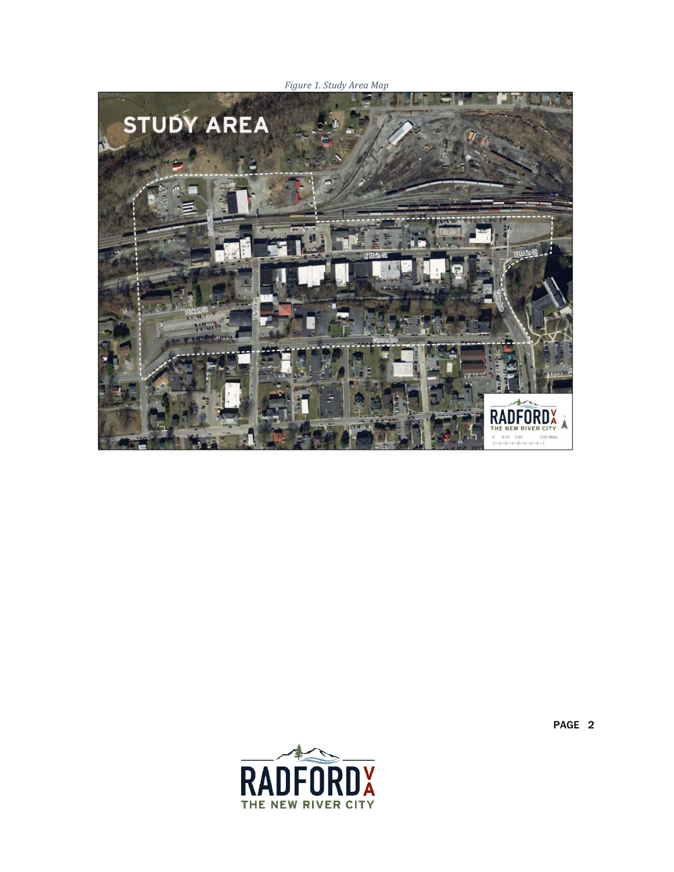





PAGE 2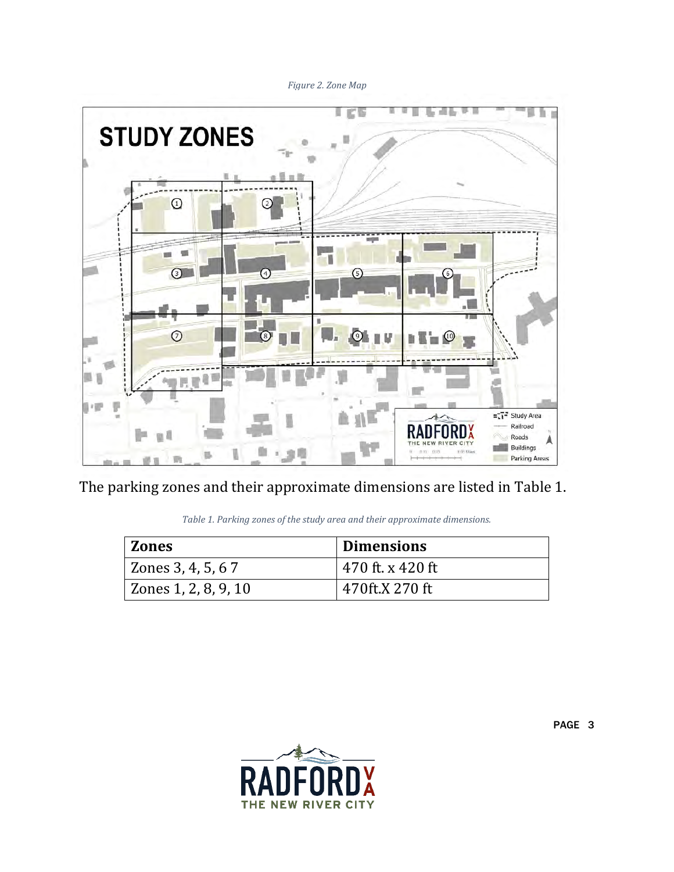*Figure 2. Zone Map*



<span id="page-3-0"></span>The parking zones and their approximate dimensions are listed in [Table 1.](#page-3-0)

|  |  |  |  |  |  |  | Table 1. Parking zones of the study area and their approximate dimensions. |
|--|--|--|--|--|--|--|----------------------------------------------------------------------------|
|--|--|--|--|--|--|--|----------------------------------------------------------------------------|

| <b>Zones</b>         | Dimensions       |
|----------------------|------------------|
| Zones 3, 4, 5, 6 7   | 470 ft. x 420 ft |
| Zones 1, 2, 8, 9, 10 | 470ft.X 270 ft   |

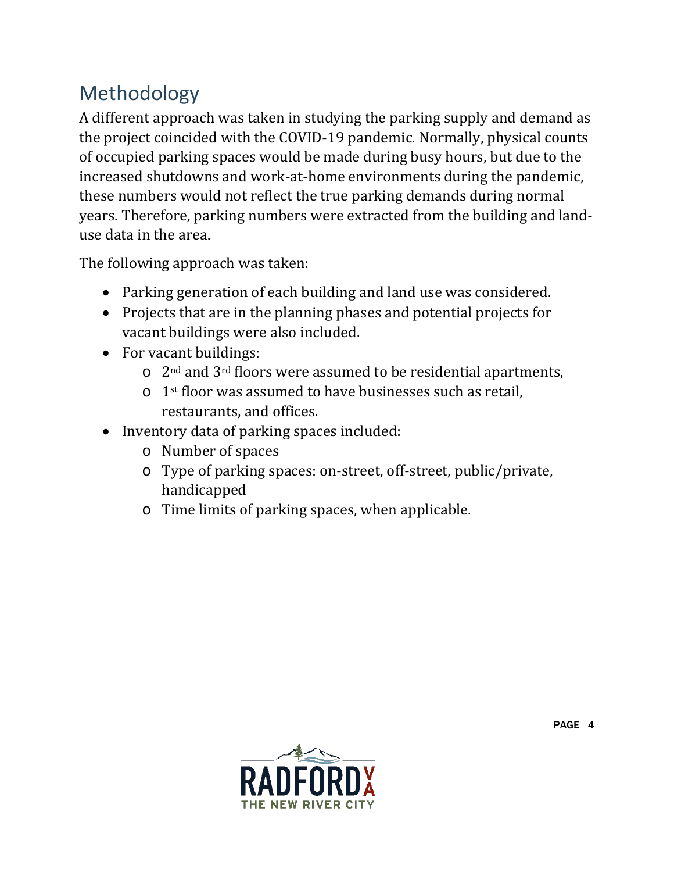## Methodology

A different approach was taken in studying the parking supply and demand as the project coincided with the COVID-19 pandemic. Normally, physical counts of occupied parking spaces would be made during busy hours, but due to the increased shutdowns and work-at-home environments during the pandemic, these numbers would not reflect the true parking demands during normal years. Therefore, parking numbers were extracted from the building and landuse data in the area.

The following approach was taken:

- Parking generation of each building and land use was considered.
- Projects that are in the planning phases and potential projects for vacant buildings were also included.
- For vacant buildings:
	- $\circ$  2<sup>nd</sup> and 3<sup>rd</sup> floors were assumed to be residential apartments,
	- o 1st floor was assumed to have businesses such as retail, restaurants, and offices.
- Inventory data of parking spaces included:
	- o Number of spaces
	- o Type of parking spaces: on-street, off-street, public/private, handicapped
	- o Time limits of parking spaces, when applicable.

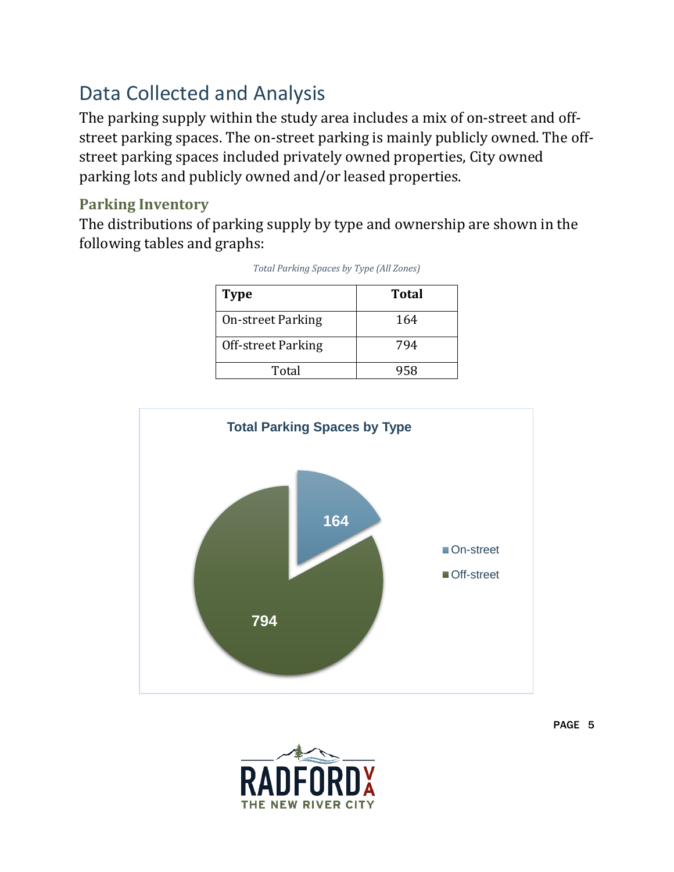### Data Collected and Analysis

The parking supply within the study area includes a mix of on-street and offstreet parking spaces. The on-street parking is mainly publicly owned. The offstreet parking spaces included privately owned properties, City owned parking lots and publicly owned and/or leased properties.

#### **Parking Inventory**

The distributions of parking supply by type and ownership are shown in the following tables and graphs:

| <b>Type</b>              | <b>Total</b> |
|--------------------------|--------------|
| <b>On-street Parking</b> | 164          |
| Off-street Parking       | 794          |
| Total                    | 958          |

*Total Parking Spaces by Type (All Zones)*



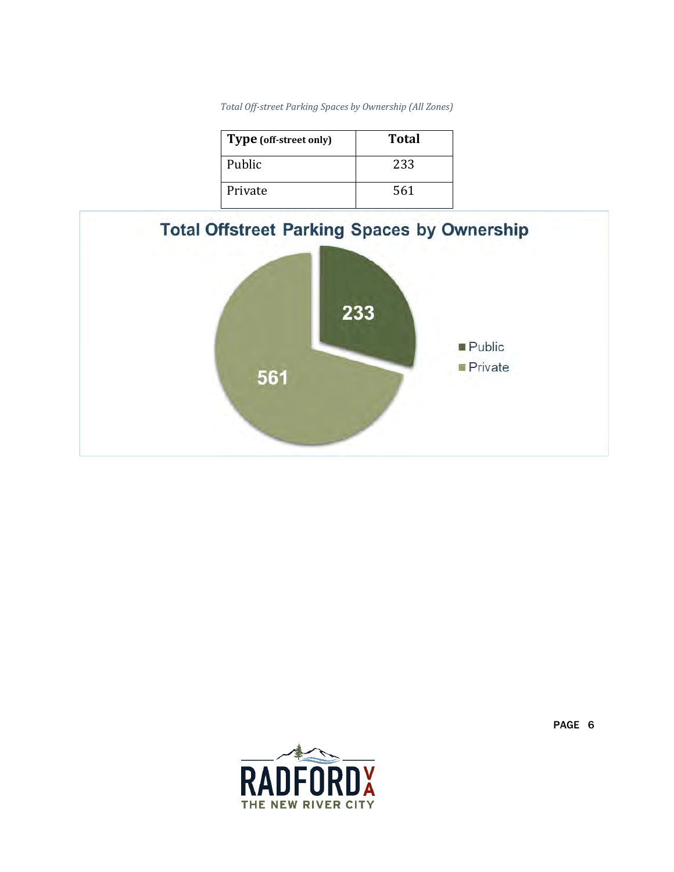|  |  | Total Off-street Parking Spaces by Ownership (All Zones) |  |
|--|--|----------------------------------------------------------|--|
|  |  |                                                          |  |

| Type (off-street only) | Total |
|------------------------|-------|
| Public                 | 233   |
| Private                | 561   |





PAGE 6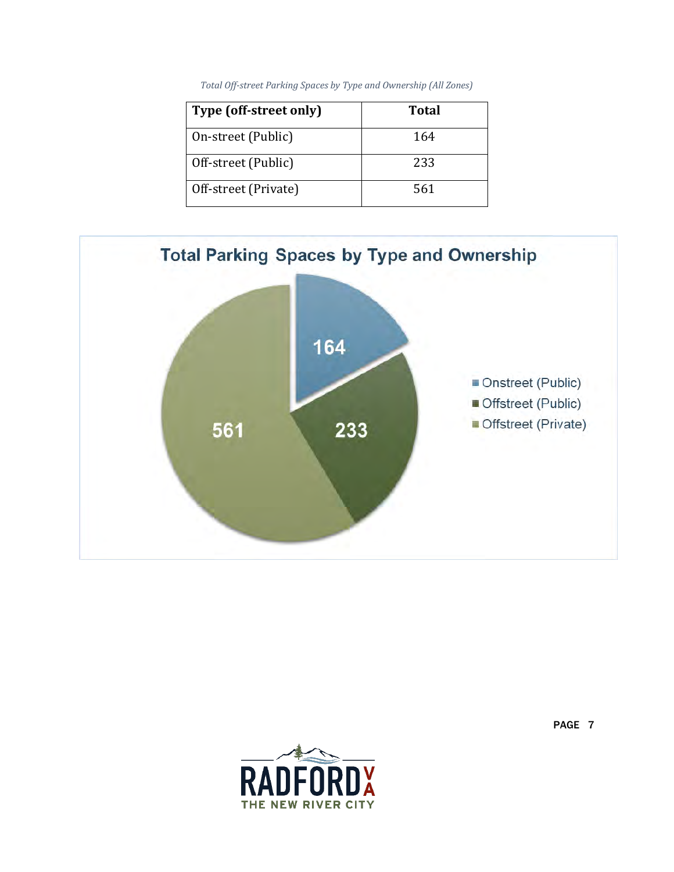|  |  | Total Off-street Parking Spaces by Type and Ownership (All Zones) |  |
|--|--|-------------------------------------------------------------------|--|
|  |  |                                                                   |  |

| Type (off-street only) | <b>Total</b> |
|------------------------|--------------|
| On-street (Public)     | 164          |
| Off-street (Public)    | 233          |
| Off-street (Private)   | 561          |



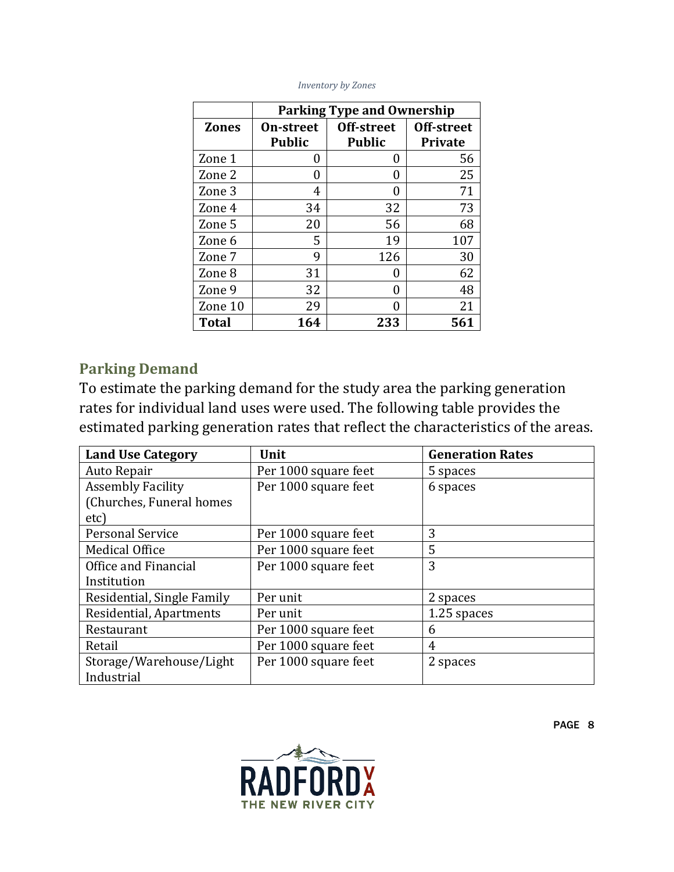|              | <b>Parking Type and Ownership</b> |               |                |  |  |
|--------------|-----------------------------------|---------------|----------------|--|--|
| <b>Zones</b> | <b>On-street</b>                  | Off-street    | Off-street     |  |  |
|              | <b>Public</b>                     | <b>Public</b> | <b>Private</b> |  |  |
| Zone 1       | 0                                 | 0             | 56             |  |  |
| Zone 2       | 0                                 | 0             | 25             |  |  |
| Zone 3       | 4                                 | O             | 71             |  |  |
| Zone 4       | 34                                | 32            | 73             |  |  |
| Zone 5       | 20                                | 56            | 68             |  |  |
| Zone 6       | 5                                 | 19            | 107            |  |  |
| Zone 7       | q                                 | 126           | 30             |  |  |
| Zone 8       | 31                                | 0             | 62             |  |  |
| Zone 9       | 32                                | 0             | 48             |  |  |
| Zone 10      | 29                                | Ω             | 21             |  |  |
| <b>Total</b> | 164                               | 233           | 561            |  |  |

#### *Inventory by Zones*

#### **Parking Demand**

To estimate the parking demand for the study area the parking generation rates for individual land uses were used. The following table provides the estimated parking generation rates that reflect the characteristics of the areas.

| <b>Land Use Category</b>   | Unit                 | <b>Generation Rates</b> |  |
|----------------------------|----------------------|-------------------------|--|
| Auto Repair                | Per 1000 square feet | 5 spaces                |  |
| <b>Assembly Facility</b>   | Per 1000 square feet | 6 spaces                |  |
| (Churches, Funeral homes   |                      |                         |  |
| etc)                       |                      |                         |  |
| <b>Personal Service</b>    | Per 1000 square feet | 3                       |  |
| <b>Medical Office</b>      | Per 1000 square feet | 5                       |  |
| Office and Financial       | Per 1000 square feet | 3                       |  |
| Institution                |                      |                         |  |
| Residential, Single Family | Per unit             | 2 spaces                |  |
| Residential, Apartments    | Per unit             | 1.25 spaces             |  |
| Restaurant                 | Per 1000 square feet | 6                       |  |
| Retail                     | Per 1000 square feet | 4                       |  |
| Storage/Warehouse/Light    | Per 1000 square feet | 2 spaces                |  |
| Industrial                 |                      |                         |  |

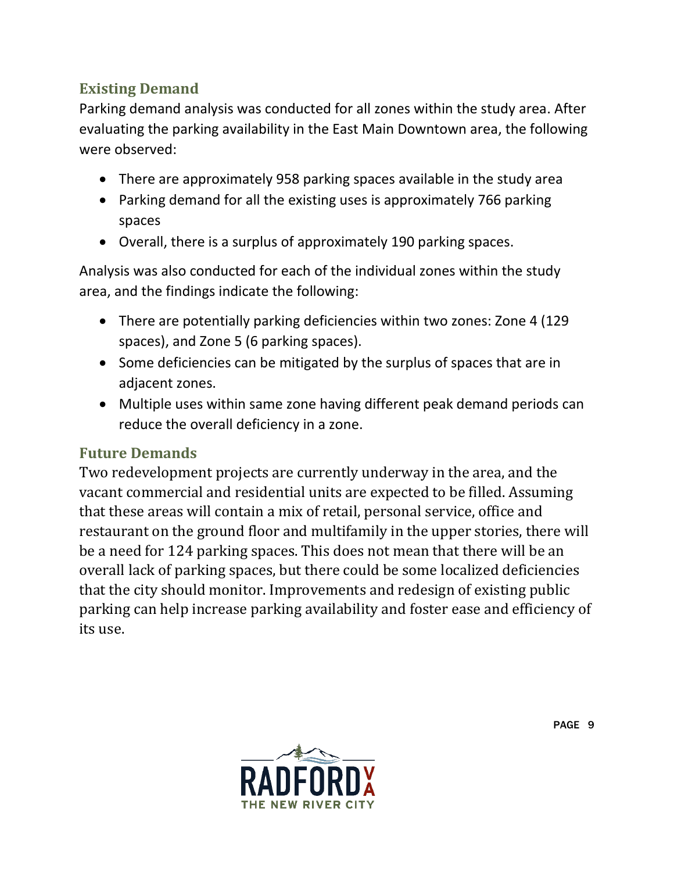### **Existing Demand**

Parking demand analysis was conducted for all zones within the study area. After evaluating the parking availability in the East Main Downtown area, the following were observed:

- There are approximately 958 parking spaces available in the study area
- Parking demand for all the existing uses is approximately 766 parking spaces
- Overall, there is a surplus of approximately 190 parking spaces.

Analysis was also conducted for each of the individual zones within the study area, and the findings indicate the following:

- There are potentially parking deficiencies within two zones: Zone 4 (129 spaces), and Zone 5 (6 parking spaces).
- Some deficiencies can be mitigated by the surplus of spaces that are in adjacent zones.
- Multiple uses within same zone having different peak demand periods can reduce the overall deficiency in a zone.

#### **Future Demands**

Two redevelopment projects are currently underway in the area, and the vacant commercial and residential units are expected to be filled. Assuming that these areas will contain a mix of retail, personal service, office and restaurant on the ground floor and multifamily in the upper stories, there will be a need for 124 parking spaces. This does not mean that there will be an overall lack of parking spaces, but there could be some localized deficiencies that the city should monitor. Improvements and redesign of existing public parking can help increase parking availability and foster ease and efficiency of its use.